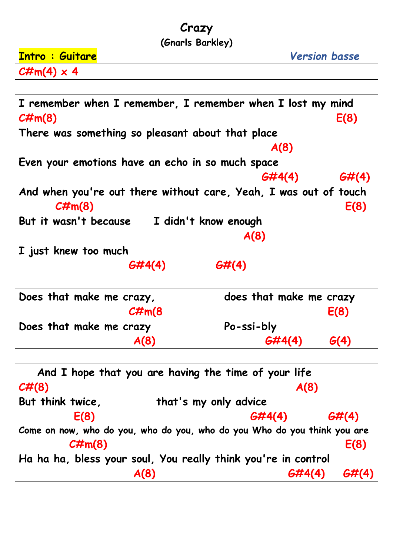## **Crazy**

## **(Gnarls Barkley)**

| <b>Intro : Guitare</b> | <b>Version basse</b> |
|------------------------|----------------------|
| $C\#m(4) \times 4$     |                      |

| I remember when I remember, I remember when I lost my mind<br>$C\#m(8)$<br>E(8)                |  |  |
|------------------------------------------------------------------------------------------------|--|--|
| There was something so pleasant about that place                                               |  |  |
| A(8)                                                                                           |  |  |
| Even your emotions have an echo in so much space                                               |  |  |
| G#(4)<br>6#4(4)                                                                                |  |  |
| And when you're out there without care, Yeah, I was out of touch<br>$\mathcal{CHm}(8)$<br>E(8) |  |  |
| But it wasn't because<br>I didn't know enough                                                  |  |  |
| A(8)                                                                                           |  |  |
| I just knew too much                                                                           |  |  |
|                                                                                                |  |  |

| Does that make me crazy, | does that make me crazy |  |
|--------------------------|-------------------------|--|
| $C\#m(8)$                | E(8)                    |  |
| Does that make me crazy  | Po-ssi-bly              |  |
|                          |                         |  |
| A(8)                     | 6#4(4)<br>G(4)          |  |